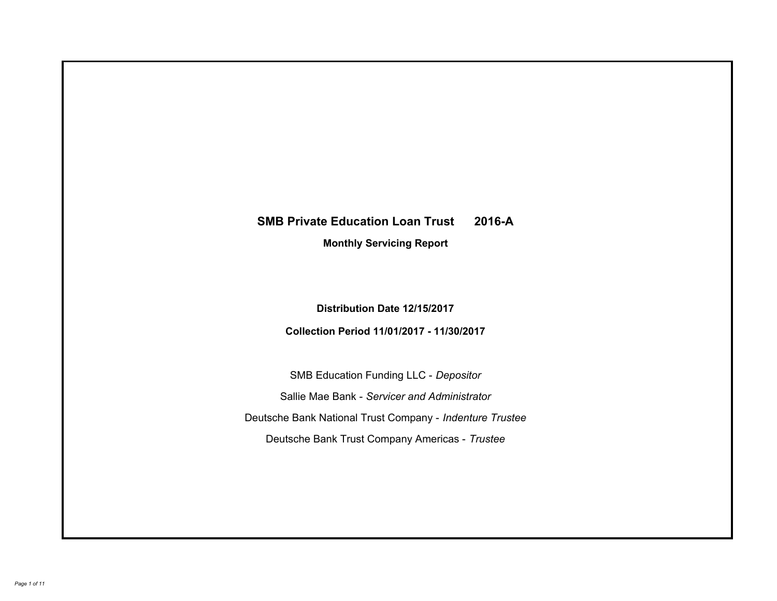# **SMB Private Education Loan Trust 2016-A Monthly Servicing Report**

**Distribution Date 12/15/2017**

**Collection Period 11/01/2017 - 11/30/2017**

SMB Education Funding LLC - *Depositor* Sallie Mae Bank - *Servicer and Administrator* Deutsche Bank National Trust Company - *Indenture Trustee* Deutsche Bank Trust Company Americas - *Trustee*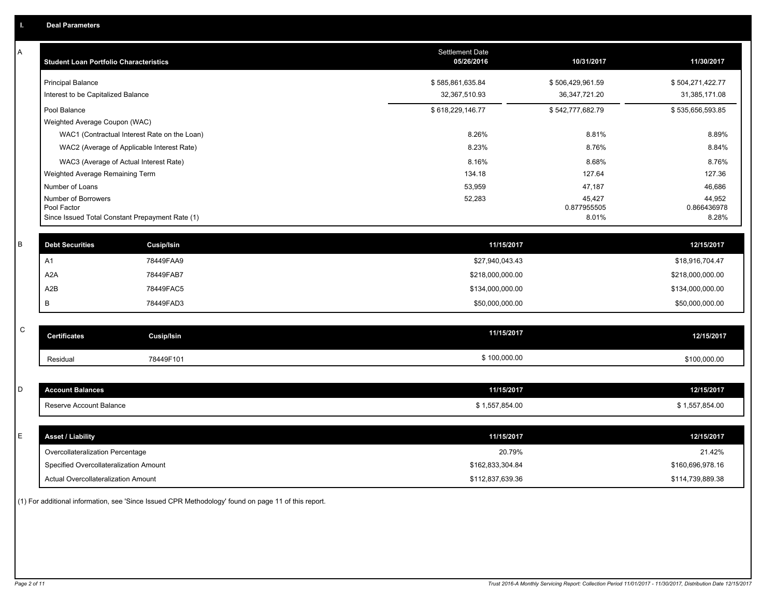| Α           | <b>Student Loan Portfolio Characteristics</b>   | Settlement Date<br>05/26/2016 | 10/31/2017            | 11/30/2017            |
|-------------|-------------------------------------------------|-------------------------------|-----------------------|-----------------------|
|             | <b>Principal Balance</b>                        | \$585,861,635.84              | \$506,429,961.59      | \$504,271,422.77      |
|             | Interest to be Capitalized Balance              | 32,367,510.93                 | 36, 347, 721. 20      | 31,385,171.08         |
|             | Pool Balance                                    | \$618,229,146.77              | \$542,777,682.79      | \$535,656,593.85      |
|             | Weighted Average Coupon (WAC)                   |                               |                       |                       |
|             | WAC1 (Contractual Interest Rate on the Loan)    | 8.26%                         | 8.81%                 | 8.89%                 |
|             | WAC2 (Average of Applicable Interest Rate)      | 8.23%                         | 8.76%                 | 8.84%                 |
|             | WAC3 (Average of Actual Interest Rate)          | 8.16%                         | 8.68%                 | 8.76%                 |
|             | Weighted Average Remaining Term                 | 134.18                        | 127.64                | 127.36                |
|             | Number of Loans                                 | 53,959                        | 47,187                | 46,686                |
|             | Number of Borrowers<br>Pool Factor              | 52,283                        | 45,427<br>0.877955505 | 44,952<br>0.866436978 |
|             | Since Issued Total Constant Prepayment Rate (1) |                               | 8.01%                 | 8.28%                 |
|             |                                                 |                               |                       |                       |
| B           | <b>Debt Securities</b><br><b>Cusip/Isin</b>     | 11/15/2017                    |                       | 12/15/2017            |
|             | A1<br>78449FAA9                                 | \$27,940,043.43               |                       | \$18,916,704.47       |
|             | A <sub>2</sub> A<br>78449FAB7                   | \$218,000,000.00              |                       | \$218,000,000.00      |
|             | A2B<br>78449FAC5                                | \$134,000,000.00              |                       | \$134,000,000.00      |
|             | B<br>78449FAD3                                  | \$50,000,000.00               |                       | \$50,000,000.00       |
|             |                                                 |                               |                       |                       |
| $\mathbf C$ | <b>Cusip/Isin</b><br><b>Certificates</b>        | 11/15/2017                    |                       | 12/15/2017            |
|             | 78449F101<br>Residual                           | \$100,000.00                  |                       | \$100,000.00          |
|             |                                                 |                               |                       |                       |
| D           | <b>Account Balances</b>                         | 11/15/2017                    |                       | 12/15/2017            |
|             | Reserve Account Balance                         | \$1,557,854.00                |                       | \$1,557,854.00        |
|             |                                                 |                               |                       |                       |
| E           | <b>Asset / Liability</b>                        | 11/15/2017                    |                       | 12/15/2017            |
|             | Overcollateralization Percentage                | 20.79%                        |                       | 21.42%                |
|             | Specified Overcollateralization Amount          | \$162,833,304.84              |                       | \$160,696,978.16      |
|             | Actual Overcollateralization Amount             | \$112,837,639.36              |                       | \$114,739,889.38      |

(1) For additional information, see 'Since Issued CPR Methodology' found on page 11 of this report.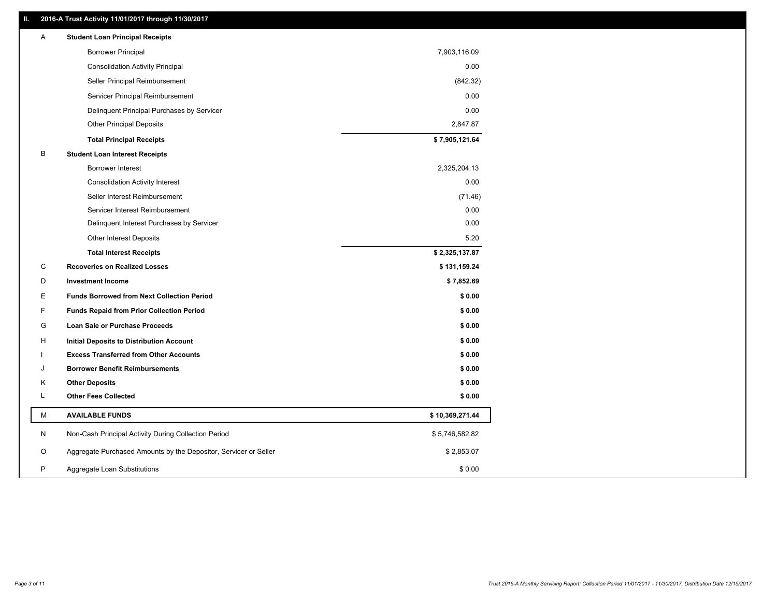### **II. 2016-A Trust Activity 11/01/2017 through 11/30/2017**

| Α | <b>Student Loan Principal Receipts</b>                           |                 |  |
|---|------------------------------------------------------------------|-----------------|--|
|   | <b>Borrower Principal</b>                                        | 7,903,116.09    |  |
|   | <b>Consolidation Activity Principal</b>                          | 0.00            |  |
|   | Seller Principal Reimbursement                                   | (842.32)        |  |
|   | Servicer Principal Reimbursement                                 | 0.00            |  |
|   | Delinquent Principal Purchases by Servicer                       | 0.00            |  |
|   | <b>Other Principal Deposits</b>                                  | 2,847.87        |  |
|   | <b>Total Principal Receipts</b>                                  | \$7,905,121.64  |  |
| В | <b>Student Loan Interest Receipts</b>                            |                 |  |
|   | <b>Borrower Interest</b>                                         | 2,325,204.13    |  |
|   | <b>Consolidation Activity Interest</b>                           | 0.00            |  |
|   | Seller Interest Reimbursement                                    | (71.46)         |  |
|   | Servicer Interest Reimbursement                                  | 0.00            |  |
|   | Delinquent Interest Purchases by Servicer                        | 0.00            |  |
|   | <b>Other Interest Deposits</b>                                   | 5.20            |  |
|   | <b>Total Interest Receipts</b>                                   | \$2,325,137.87  |  |
| C | <b>Recoveries on Realized Losses</b>                             | \$131,159.24    |  |
| D | <b>Investment Income</b>                                         | \$7,852.69      |  |
| Е | <b>Funds Borrowed from Next Collection Period</b>                | \$0.00          |  |
| F | <b>Funds Repaid from Prior Collection Period</b>                 | \$0.00          |  |
| G | Loan Sale or Purchase Proceeds                                   | \$0.00          |  |
| н | Initial Deposits to Distribution Account                         | \$0.00          |  |
|   | <b>Excess Transferred from Other Accounts</b>                    | \$0.00          |  |
| J | <b>Borrower Benefit Reimbursements</b>                           | \$0.00          |  |
| Κ | <b>Other Deposits</b>                                            | \$0.00          |  |
| L | <b>Other Fees Collected</b>                                      | \$0.00          |  |
| М | <b>AVAILABLE FUNDS</b>                                           | \$10,369,271.44 |  |
| N | Non-Cash Principal Activity During Collection Period             | \$5,746,582.82  |  |
| O | Aggregate Purchased Amounts by the Depositor, Servicer or Seller | \$2,853.07      |  |
| P | Aggregate Loan Substitutions                                     | \$0.00          |  |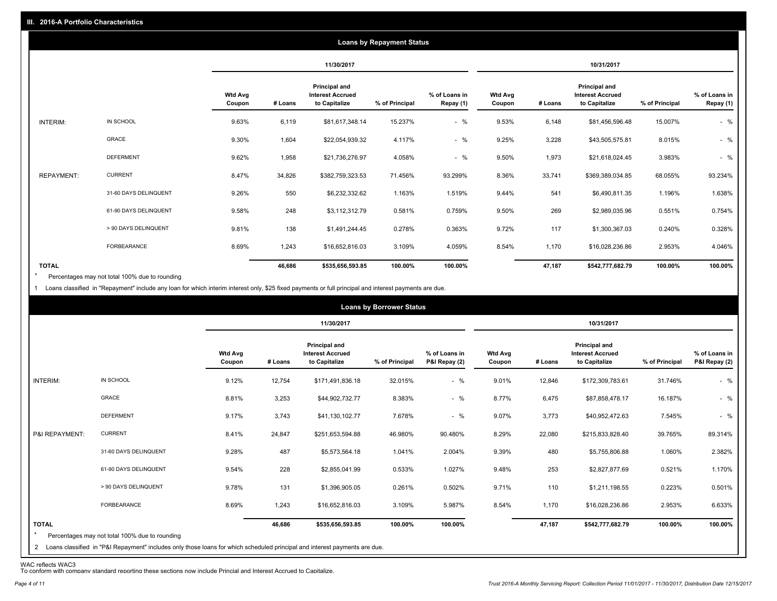|                   |                       |                          |         |                                                           | <b>Loans by Repayment Status</b> |                            |                          |         |                                                                  |                |                            |
|-------------------|-----------------------|--------------------------|---------|-----------------------------------------------------------|----------------------------------|----------------------------|--------------------------|---------|------------------------------------------------------------------|----------------|----------------------------|
|                   |                       |                          |         | 11/30/2017                                                |                                  |                            |                          |         | 10/31/2017                                                       |                |                            |
|                   |                       | <b>Wtd Avg</b><br>Coupon | # Loans | Principal and<br><b>Interest Accrued</b><br>to Capitalize | % of Principal                   | % of Loans in<br>Repay (1) | <b>Wtd Avg</b><br>Coupon | # Loans | <b>Principal and</b><br><b>Interest Accrued</b><br>to Capitalize | % of Principal | % of Loans in<br>Repay (1) |
| INTERIM:          | IN SCHOOL             | 9.63%                    | 6,119   | \$81,617,348.14                                           | 15.237%                          | $-$ %                      | 9.53%                    | 6,148   | \$81,456,596.48                                                  | 15.007%        | $-$ %                      |
|                   | GRACE                 | 9.30%                    | 1,604   | \$22,054,939.32                                           | 4.117%                           | $-$ %                      | 9.25%                    | 3,228   | \$43,505,575.81                                                  | 8.015%         | $-$ %                      |
|                   | <b>DEFERMENT</b>      | 9.62%                    | 1,958   | \$21,736,276.97                                           | 4.058%                           | $-$ %                      | 9.50%                    | 1,973   | \$21,618,024.45                                                  | 3.983%         | $-$ %                      |
| <b>REPAYMENT:</b> | <b>CURRENT</b>        | 8.47%                    | 34,826  | \$382,759,323.53                                          | 71.456%                          | 93.299%                    | 8.36%                    | 33,741  | \$369,389,034.85                                                 | 68.055%        | 93.234%                    |
|                   | 31-60 DAYS DELINQUENT | 9.26%                    | 550     | \$6,232,332.62                                            | 1.163%                           | 1.519%                     | 9.44%                    | 541     | \$6,490,811.35                                                   | 1.196%         | 1.638%                     |
|                   | 61-90 DAYS DELINQUENT | 9.58%                    | 248     | \$3,112,312.79                                            | 0.581%                           | 0.759%                     | 9.50%                    | 269     | \$2,989,035.96                                                   | 0.551%         | 0.754%                     |
|                   | > 90 DAYS DELINQUENT  | 9.81%                    | 138     | \$1,491,244.45                                            | 0.278%                           | 0.363%                     | 9.72%                    | 117     | \$1,300,367.03                                                   | 0.240%         | 0.328%                     |
|                   | FORBEARANCE           | 8.69%                    | 1,243   | \$16,652,816.03                                           | 3.109%                           | 4.059%                     | 8.54%                    | 1,170   | \$16,028,236.86                                                  | 2.953%         | 4.046%                     |
| <b>TOTAL</b>      |                       |                          | 46,686  | \$535,656,593.85                                          | 100.00%                          | 100.00%                    |                          | 47,187  | \$542,777,682.79                                                 | 100.00%        | 100.00%                    |

Percentages may not total 100% due to rounding \*

1 Loans classified in "Repayment" include any loan for which interim interest only, \$25 fixed payments or full principal and interest payments are due.

|                         |                                                                                                                              |                          |         |                                                           | <b>Loans by Borrower Status</b> |                                |                          |         |                                                                  |                |                                |
|-------------------------|------------------------------------------------------------------------------------------------------------------------------|--------------------------|---------|-----------------------------------------------------------|---------------------------------|--------------------------------|--------------------------|---------|------------------------------------------------------------------|----------------|--------------------------------|
|                         |                                                                                                                              |                          |         | 11/30/2017                                                |                                 |                                |                          |         | 10/31/2017                                                       |                |                                |
|                         |                                                                                                                              | <b>Wtd Avg</b><br>Coupon | # Loans | Principal and<br><b>Interest Accrued</b><br>to Capitalize | % of Principal                  | % of Loans in<br>P&I Repay (2) | <b>Wtd Avg</b><br>Coupon | # Loans | <b>Principal and</b><br><b>Interest Accrued</b><br>to Capitalize | % of Principal | % of Loans in<br>P&I Repay (2) |
| INTERIM:                | IN SCHOOL                                                                                                                    | 9.12%                    | 12,754  | \$171,491,836.18                                          | 32.015%                         | $-$ %                          | 9.01%                    | 12,846  | \$172,309,783.61                                                 | 31.746%        | $-$ %                          |
|                         | <b>GRACE</b>                                                                                                                 | 8.81%                    | 3,253   | \$44,902,732.77                                           | 8.383%                          | $-$ %                          | 8.77%                    | 6,475   | \$87,858,478.17                                                  | 16.187%        | $-$ %                          |
|                         | <b>DEFERMENT</b>                                                                                                             | 9.17%                    | 3,743   | \$41,130,102.77                                           | 7.678%                          | $-$ %                          | 9.07%                    | 3,773   | \$40,952,472.63                                                  | 7.545%         | $-$ %                          |
| P&I REPAYMENT:          | <b>CURRENT</b>                                                                                                               | 8.41%                    | 24,847  | \$251,653,594.88                                          | 46.980%                         | 90.480%                        | 8.29%                    | 22,080  | \$215,833,828.40                                                 | 39.765%        | 89.314%                        |
|                         | 31-60 DAYS DELINQUENT                                                                                                        | 9.28%                    | 487     | \$5,573,564.18                                            | 1.041%                          | 2.004%                         | 9.39%                    | 480     | \$5,755,806.88                                                   | 1.060%         | 2.382%                         |
|                         | 61-90 DAYS DELINQUENT                                                                                                        | 9.54%                    | 228     | \$2,855,041.99                                            | 0.533%                          | 1.027%                         | 9.48%                    | 253     | \$2,827,877.69                                                   | 0.521%         | 1.170%                         |
|                         | > 90 DAYS DELINQUENT                                                                                                         | 9.78%                    | 131     | \$1,396,905.05                                            | 0.261%                          | 0.502%                         | 9.71%                    | 110     | \$1,211,198.55                                                   | 0.223%         | 0.501%                         |
|                         | <b>FORBEARANCE</b>                                                                                                           | 8.69%                    | 1,243   | \$16,652,816.03                                           | 3.109%                          | 5.987%                         | 8.54%                    | 1,170   | \$16,028,236.86                                                  | 2.953%         | 6.633%                         |
| <b>TOTAL</b><br>$\star$ | Percentages may not total 100% due to rounding                                                                               |                          | 46.686  | \$535,656,593.85                                          | 100.00%                         | 100.00%                        |                          | 47,187  | \$542,777,682.79                                                 | 100.00%        | 100.00%                        |
|                         | 2 Loans classified in "P&I Repayment" includes only those loans for which scheduled principal and interest payments are due. |                          |         |                                                           |                                 |                                |                          |         |                                                                  |                |                                |

WAC reflects WAC3 To conform with company standard reporting these sections now include Princial and Interest Accrued to Capitalize.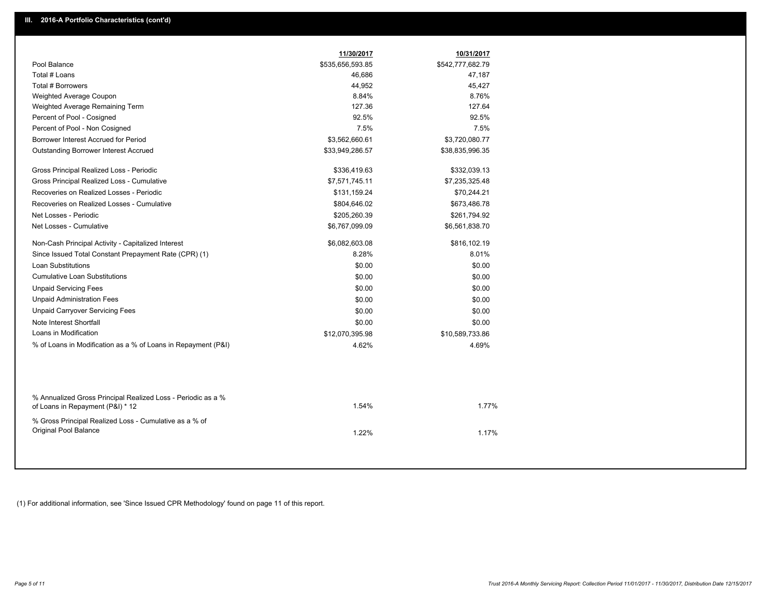|                                                                                                  | 11/30/2017       | 10/31/2017       |
|--------------------------------------------------------------------------------------------------|------------------|------------------|
| Pool Balance                                                                                     | \$535,656,593.85 | \$542,777,682.79 |
| Total # Loans                                                                                    | 46,686           | 47,187           |
| Total # Borrowers                                                                                | 44,952           | 45,427           |
| Weighted Average Coupon                                                                          | 8.84%            | 8.76%            |
| Weighted Average Remaining Term                                                                  | 127.36           | 127.64           |
| Percent of Pool - Cosigned                                                                       | 92.5%            | 92.5%            |
| Percent of Pool - Non Cosigned                                                                   | 7.5%             | 7.5%             |
| Borrower Interest Accrued for Period                                                             | \$3,562,660.61   | \$3,720,080.77   |
| <b>Outstanding Borrower Interest Accrued</b>                                                     | \$33,949,286.57  | \$38,835,996.35  |
| Gross Principal Realized Loss - Periodic                                                         | \$336,419.63     | \$332,039.13     |
| Gross Principal Realized Loss - Cumulative                                                       | \$7,571,745.11   | \$7,235,325.48   |
| Recoveries on Realized Losses - Periodic                                                         | \$131,159.24     | \$70,244.21      |
| Recoveries on Realized Losses - Cumulative                                                       | \$804,646.02     | \$673,486.78     |
| Net Losses - Periodic                                                                            | \$205,260.39     | \$261,794.92     |
| Net Losses - Cumulative                                                                          | \$6,767,099.09   | \$6,561,838.70   |
| Non-Cash Principal Activity - Capitalized Interest                                               | \$6,082,603.08   | \$816,102.19     |
| Since Issued Total Constant Prepayment Rate (CPR) (1)                                            | 8.28%            | 8.01%            |
| <b>Loan Substitutions</b>                                                                        | \$0.00           | \$0.00           |
| <b>Cumulative Loan Substitutions</b>                                                             | \$0.00           | \$0.00           |
| <b>Unpaid Servicing Fees</b>                                                                     | \$0.00           | \$0.00           |
| <b>Unpaid Administration Fees</b>                                                                | \$0.00           | \$0.00           |
| <b>Unpaid Carryover Servicing Fees</b>                                                           | \$0.00           | \$0.00           |
| Note Interest Shortfall                                                                          | \$0.00           | \$0.00           |
| Loans in Modification                                                                            | \$12,070,395.98  | \$10,589,733.86  |
| % of Loans in Modification as a % of Loans in Repayment (P&I)                                    | 4.62%            | 4.69%            |
|                                                                                                  |                  |                  |
| % Annualized Gross Principal Realized Loss - Periodic as a %<br>of Loans in Repayment (P&I) * 12 | 1.54%            | 1.77%            |
| % Gross Principal Realized Loss - Cumulative as a % of<br>Original Pool Balance                  | 1.22%            | 1.17%            |

(1) For additional information, see 'Since Issued CPR Methodology' found on page 11 of this report.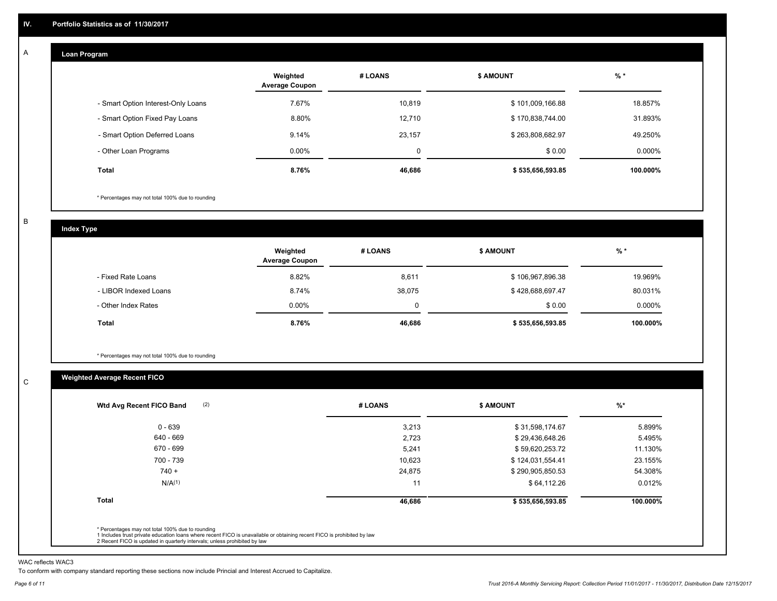#### **Loan Program**  A

|                                    | Weighted<br><b>Average Coupon</b> | # LOANS | <b>\$ AMOUNT</b> | $%$ *     |
|------------------------------------|-----------------------------------|---------|------------------|-----------|
| - Smart Option Interest-Only Loans | 7.67%                             | 10,819  | \$101,009,166.88 | 18.857%   |
| - Smart Option Fixed Pay Loans     | 8.80%                             | 12,710  | \$170,838,744.00 | 31.893%   |
| - Smart Option Deferred Loans      | 9.14%                             | 23,157  | \$263,808,682.97 | 49.250%   |
| - Other Loan Programs              | $0.00\%$                          | 0       | \$0.00           | $0.000\%$ |
| <b>Total</b>                       | 8.76%                             | 46,686  | \$535,656,593.85 | 100.000%  |

\* Percentages may not total 100% due to rounding

B

C

**Index Type**

|                       | Weighted<br><b>Average Coupon</b> | # LOANS | <b>\$ AMOUNT</b> | $%$ *     |
|-----------------------|-----------------------------------|---------|------------------|-----------|
| - Fixed Rate Loans    | 8.82%                             | 8,611   | \$106,967,896.38 | 19.969%   |
| - LIBOR Indexed Loans | 8.74%                             | 38,075  | \$428,688,697.47 | 80.031%   |
| - Other Index Rates   | $0.00\%$                          |         | \$0.00           | $0.000\%$ |
| <b>Total</b>          | 8.76%                             | 46,686  | \$535,656,593.85 | 100.000%  |

\* Percentages may not total 100% due to rounding

## **Weighted Average Recent FICO**

| $0 - 639$<br>640 - 669 | 3,213  | \$31,598,174.67  |          |
|------------------------|--------|------------------|----------|
|                        |        |                  | 5.899%   |
|                        | 2,723  | \$29,436,648.26  | 5.495%   |
| 670 - 699              | 5,241  | \$59,620,253.72  | 11.130%  |
| 700 - 739              | 10,623 | \$124,031,554.41 | 23.155%  |
| $740 +$                | 24,875 | \$290,905,850.53 | 54.308%  |
| N/A(1)                 | 11     | \$64,112.26      | 0.012%   |
| <b>Total</b>           | 46,686 | \$535,656,593.85 | 100.000% |

WAC reflects WAC3

To conform with company standard reporting these sections now include Princial and Interest Accrued to Capitalize.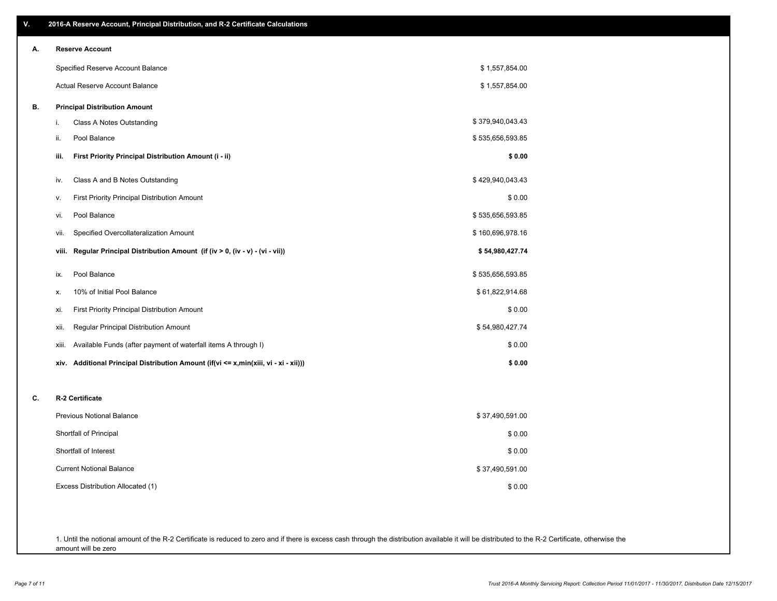| ۷. | 2016-A Reserve Account, Principal Distribution, and R-2 Certificate Calculations     |                  |
|----|--------------------------------------------------------------------------------------|------------------|
| А. | <b>Reserve Account</b>                                                               |                  |
|    | Specified Reserve Account Balance                                                    | \$1,557,854.00   |
|    | <b>Actual Reserve Account Balance</b>                                                | \$1,557,854.00   |
| В. | <b>Principal Distribution Amount</b>                                                 |                  |
|    | i.<br>Class A Notes Outstanding                                                      | \$379,940,043.43 |
|    | Pool Balance<br>ii.                                                                  | \$535,656,593.85 |
|    | First Priority Principal Distribution Amount (i - ii)<br>iii.                        | \$0.00           |
|    | Class A and B Notes Outstanding<br>iv.                                               | \$429,940,043.43 |
|    | <b>First Priority Principal Distribution Amount</b><br>v.                            | \$0.00           |
|    | Pool Balance<br>vi.                                                                  | \$535,656,593.85 |
|    | Specified Overcollateralization Amount<br>vii.                                       | \$160,696,978.16 |
|    | Regular Principal Distribution Amount (if (iv > 0, (iv - v) - (vi - vii))<br>viii.   | \$54,980,427.74  |
|    | Pool Balance<br>ix.                                                                  | \$535,656,593.85 |
|    | 10% of Initial Pool Balance<br>Х.                                                    | \$61,822,914.68  |
|    | <b>First Priority Principal Distribution Amount</b><br>xi.                           | \$0.00           |
|    | Regular Principal Distribution Amount<br>xii.                                        | \$54,980,427.74  |
|    | Available Funds (after payment of waterfall items A through I)<br>xiii.              | \$0.00           |
|    | xiv. Additional Principal Distribution Amount (if(vi <= x,min(xiii, vi - xi - xii))) | \$0.00           |
| C. | R-2 Certificate                                                                      |                  |
|    | <b>Previous Notional Balance</b>                                                     | \$37,490,591.00  |
|    | Shortfall of Principal                                                               | \$0.00           |
|    | Shortfall of Interest                                                                | \$0.00           |
|    | <b>Current Notional Balance</b>                                                      | \$37,490,591.00  |
|    | Excess Distribution Allocated (1)                                                    | \$0.00           |
|    |                                                                                      |                  |
|    |                                                                                      |                  |
|    |                                                                                      |                  |

1. Until the notional amount of the R-2 Certificate is reduced to zero and if there is excess cash through the distribution available it will be distributed to the R-2 Certificate, otherwise the amount will be zero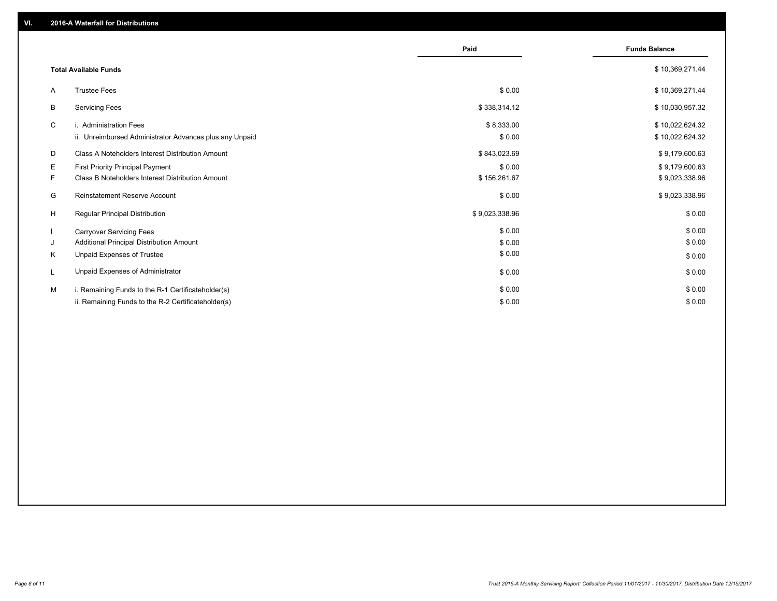|    |                                                         | Paid           | <b>Funds Balance</b> |
|----|---------------------------------------------------------|----------------|----------------------|
|    |                                                         |                |                      |
|    | <b>Total Available Funds</b>                            |                | \$10,369,271.44      |
| A  | <b>Trustee Fees</b>                                     | \$0.00         | \$10,369,271.44      |
| B  | <b>Servicing Fees</b>                                   | \$338,314.12   | \$10,030,957.32      |
| C  | i. Administration Fees                                  | \$8,333.00     | \$10,022,624.32      |
|    | ii. Unreimbursed Administrator Advances plus any Unpaid | \$0.00         | \$10,022,624.32      |
| D  | Class A Noteholders Interest Distribution Amount        | \$843,023.69   | \$9,179,600.63       |
| Е  | <b>First Priority Principal Payment</b>                 | \$0.00         | \$9,179,600.63       |
| F. | Class B Noteholders Interest Distribution Amount        | \$156,261.67   | \$9,023,338.96       |
| G  | <b>Reinstatement Reserve Account</b>                    | \$0.00         | \$9,023,338.96       |
| H  | <b>Regular Principal Distribution</b>                   | \$9,023,338.96 | \$0.00               |
|    | <b>Carryover Servicing Fees</b>                         | \$0.00         | \$0.00               |
| J  | Additional Principal Distribution Amount                | \$0.00         | \$0.00               |
| K  | Unpaid Expenses of Trustee                              | \$0.00         | \$0.00               |
|    | Unpaid Expenses of Administrator                        | \$0.00         | \$0.00               |
| M  | i. Remaining Funds to the R-1 Certificateholder(s)      | \$0.00         | \$0.00               |
|    | ii. Remaining Funds to the R-2 Certificateholder(s)     | \$0.00         | \$0.00               |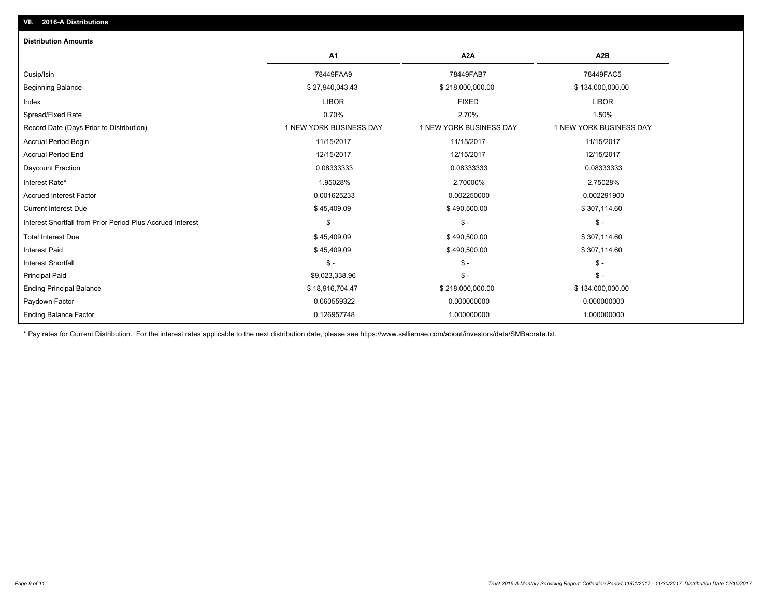| <b>Distribution Amounts</b>                                |                         |                         |                         |
|------------------------------------------------------------|-------------------------|-------------------------|-------------------------|
|                                                            | A1                      | A <sub>2</sub> A        | A <sub>2</sub> B        |
| Cusip/Isin                                                 | 78449FAA9               | 78449FAB7               | 78449FAC5               |
| <b>Beginning Balance</b>                                   | \$27,940,043.43         | \$218,000,000.00        | \$134,000,000.00        |
| Index                                                      | <b>LIBOR</b>            | <b>FIXED</b>            | <b>LIBOR</b>            |
| Spread/Fixed Rate                                          | 0.70%                   | 2.70%                   | 1.50%                   |
| Record Date (Days Prior to Distribution)                   | 1 NEW YORK BUSINESS DAY | 1 NEW YORK BUSINESS DAY | 1 NEW YORK BUSINESS DAY |
| <b>Accrual Period Begin</b>                                | 11/15/2017              | 11/15/2017              | 11/15/2017              |
| <b>Accrual Period End</b>                                  | 12/15/2017              | 12/15/2017              | 12/15/2017              |
| Daycount Fraction                                          | 0.08333333              | 0.08333333              | 0.08333333              |
| Interest Rate*                                             | 1.95028%                | 2.70000%                | 2.75028%                |
| <b>Accrued Interest Factor</b>                             | 0.001625233             | 0.002250000             | 0.002291900             |
| <b>Current Interest Due</b>                                | \$45,409.09             | \$490,500.00            | \$307,114.60            |
| Interest Shortfall from Prior Period Plus Accrued Interest | $\mathsf{\$}$ -         | $\frac{1}{2}$           | $\mathsf{\$}$ -         |
| <b>Total Interest Due</b>                                  | \$45,409.09             | \$490,500.00            | \$307,114.60            |
| <b>Interest Paid</b>                                       | \$45,409.09             | \$490,500.00            | \$307,114.60            |
| <b>Interest Shortfall</b>                                  | $\frac{2}{3}$ -         | $\mathsf{\$}$ -         | $\frac{2}{3}$ -         |
| <b>Principal Paid</b>                                      | \$9,023,338.96          | $\frac{2}{3}$ -         | $\mathsf{\$}$ -         |
| <b>Ending Principal Balance</b>                            | \$18,916,704.47         | \$218,000,000.00        | \$134,000,000.00        |
| Paydown Factor                                             | 0.060559322             | 0.000000000             | 0.000000000             |
| <b>Ending Balance Factor</b>                               | 0.126957748             | 1.000000000             | 1.000000000             |

\* Pay rates for Current Distribution. For the interest rates applicable to the next distribution date, please see https://www.salliemae.com/about/investors/data/SMBabrate.txt.

**VII. 2016-A Distributions**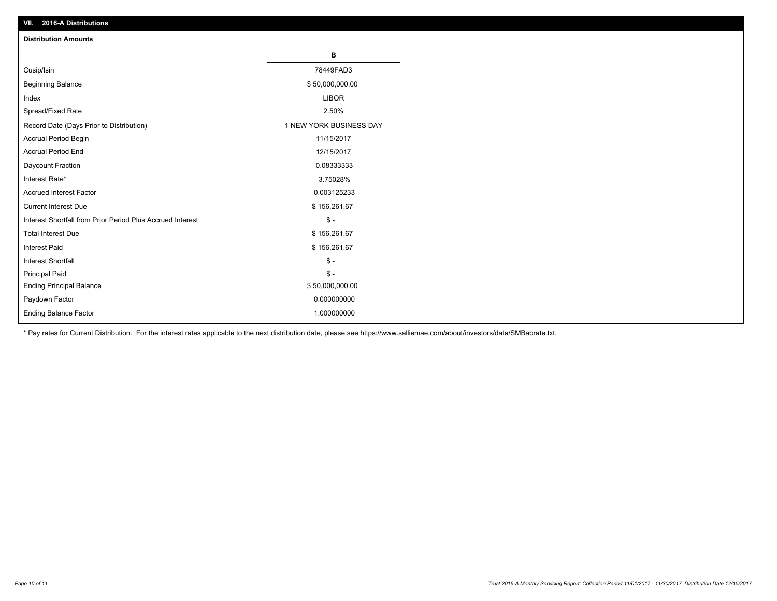| VII. 2016-A Distributions                                  |                         |
|------------------------------------------------------------|-------------------------|
| <b>Distribution Amounts</b>                                |                         |
|                                                            | в                       |
| Cusip/Isin                                                 | 78449FAD3               |
| <b>Beginning Balance</b>                                   | \$50,000,000.00         |
| Index                                                      | <b>LIBOR</b>            |
| Spread/Fixed Rate                                          | 2.50%                   |
| Record Date (Days Prior to Distribution)                   | 1 NEW YORK BUSINESS DAY |
| Accrual Period Begin                                       | 11/15/2017              |
| <b>Accrual Period End</b>                                  | 12/15/2017              |
| Daycount Fraction                                          | 0.08333333              |
| Interest Rate*                                             | 3.75028%                |
| <b>Accrued Interest Factor</b>                             | 0.003125233             |
| <b>Current Interest Due</b>                                | \$156,261.67            |
| Interest Shortfall from Prior Period Plus Accrued Interest | $$ -$                   |
| <b>Total Interest Due</b>                                  | \$156,261.67            |
| <b>Interest Paid</b>                                       | \$156,261.67            |
| <b>Interest Shortfall</b>                                  | $\mathbb{S}$ -          |
| <b>Principal Paid</b>                                      | $\frac{2}{3}$ -         |
| <b>Ending Principal Balance</b>                            | \$50,000,000.00         |
| Paydown Factor                                             | 0.000000000             |
| <b>Ending Balance Factor</b>                               | 1.000000000             |

\* Pay rates for Current Distribution. For the interest rates applicable to the next distribution date, please see https://www.salliemae.com/about/investors/data/SMBabrate.txt.